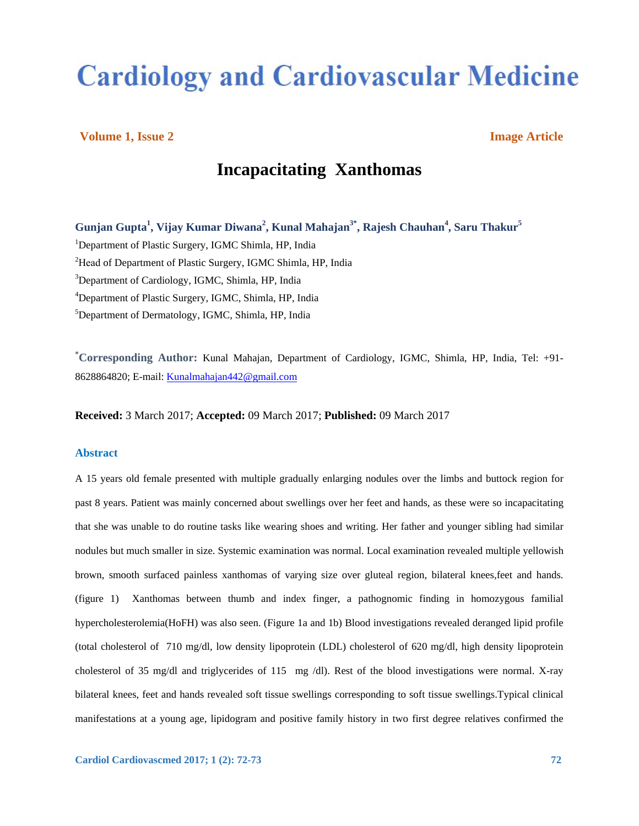# **Cardiology and Cardiovascular Medicine**

# **Volume 1, Issue 2 Image Article**

# **Incapacitating Xanthomas**

**Gunjan Gupta<sup>1</sup> , Vijay Kumar Diwana<sup>2</sup> , Kunal Mahajan3\*, Rajesh Chauhan 4 , Saru Thakur<sup>5</sup>** <sup>1</sup>Department of Plastic Surgery, IGMC Shimla, HP, India <sup>2</sup>Head of Department of Plastic Surgery, IGMC Shimla, HP, India <sup>3</sup>Department of Cardiology, IGMC, Shimla, HP, India <sup>4</sup>Department of Plastic Surgery, IGMC, Shimla, HP, India <sup>5</sup>Department of Dermatology, IGMC, Shimla, HP, India

**\* Corresponding Author:** Kunal Mahajan, Department of Cardiology, IGMC, Shimla, HP, India, Tel: +91- 8628864820; E-mail: Kunalmahajan442@gmail.com

**Received:** 3 March 2017; **Accepted:** 09 March 2017; **Published:** 09 March 2017

### **Abstract**

A 15 years old female presented with multiple gradually enlarging nodules over the limbs and buttock region for past 8 years. Patient was mainly concerned about swellings over her feet and hands, as these were so incapacitating that she was unable to do routine tasks like wearing shoes and writing. Her father and younger sibling had similar nodules but much smaller in size. Systemic examination was normal. Local examination revealed multiple yellowish brown, smooth surfaced painless xanthomas of varying size over gluteal region, bilateral knees,feet and hands. (figure 1) Xanthomas between thumb and index finger, a pathognomic finding in homozygous familial hypercholesterolemia(HoFH) was also seen. (Figure 1a and 1b) Blood investigations revealed deranged lipid profile (total cholesterol of 710 mg/dl, low density lipoprotein (LDL) cholesterol of 620 mg/dl, high density lipoprotein cholesterol of 35 mg/dl and triglycerides of 115 mg /dl). Rest of the blood investigations were normal. X-ray bilateral knees, feet and hands revealed soft tissue swellings corresponding to soft tissue swellings.Typical clinical manifestations at a young age, lipidogram and positive family history in two first degree relatives confirmed the